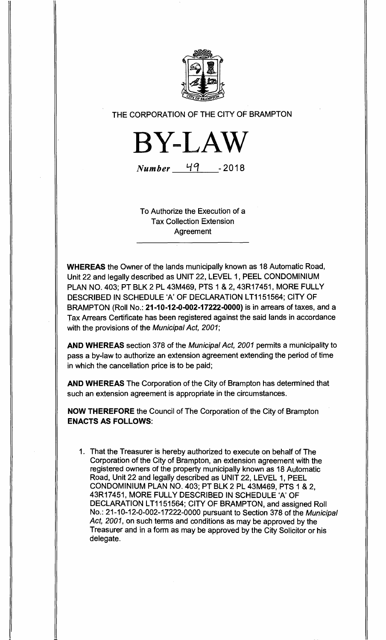

## THE CORPORATION OF THE CITY OF BRAMPTON



Number **1d1 -2018** 

To Authorize the Execution of a Tax Collection Extension Agreement

**WHEREAS** the Owner of the lands municipally known as 18 Automatic Road, Unit 22 and legally described as UNIT 22, LEVEL 1, PEEL CONDOMINIUM PLAN NO. 403; PT BLK 2 PL 43M469, PTS 1 & 2, 43R17451, MORE FULLY DESCRIBED IN SCHEDULE 'A' OF DECLARATION LT1151564; CITY OF BRAMPTON (Roll No.: **21-10-12-0-002-17222-0000)** is in arrears of taxes, and a Tax Arrears Certificate has been registered against the said lands in accordance with the provisions of the Municipal Act, 2001;

**AND WHEREAS** section 378 of the Municipal Act, 2001 permits a municipality to pass a by-law to authorize an extension agreement extending the period of time in which the cancellation price is to be paid;

**AND WHEREAS** The Corporation of the City of Brampton has determined that such an extension agreement is appropriate in the circumstances.

**NOW THEREFORE** the Council of The Corporation of the City of Brampton **ENACTS AS FOLLOWS:** 

1. That the Treasurer is hereby authorized to execute on behalf of The Corporation of the City of Brampton, an extension agreement with the registered owners of the property municipally known as 18 Automatic Road, Unit 22 and legally described as UNIT 22, LEVEL 1, PEEL CONDOMINIUM PLAN NO. 403; PT BLK 2 PL 43M469, PTS 1 & 2, 43R17451, MORE FULLY DESCRIBED IN SCHEDULE `A' OF DECLARATION LT1151564; CITY OF BRAMPTON, and assigned Roll No.: 21-10-12-0-002-17222-0000 pursuant to Section 378 of the Municipal Act, 2001, on such terms and conditions as may be approved by the Treasurer and in a form as may be approved by the City Solicitor or his delegate.